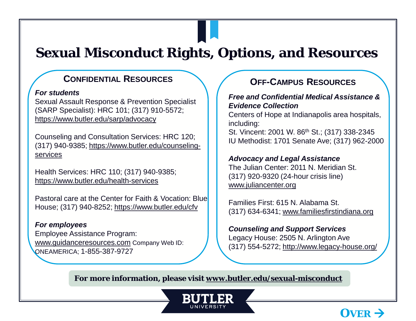# **Sexual Misconduct Rights, Options, and Resources**

### **CONFIDENTIAL RESOURCES**

#### *For students*

Sexual Assault Response & Prevention Specialist (SARP Specialist): HRC 101; (317) 910-5572; <https://www.butler.edu/sarp/advocacy>

Counseling and Consultation Services: HRC 120; [\(317\) 940-9385; https://www.butler.edu/counseling](https://www.butler.edu/counseling-services)services

Health Services: HRC 110; (317) 940-9385; <https://www.butler.edu/health-services>

Pastoral care at the Center for Faith & Vocation: Blue House; (317) 940-8252;<https://www.butler.edu/cfv>

*For employees* Employee Assistance Program: [www.guidanceresources.com](http://www.guidanceresources.com/) Company Web ID: ONEAMERICA; 1-855-387-9727

## **OFF-CAMPUS RESOURCES**

#### *Free and Confidential Medical Assistance & Evidence Collection*

Centers of Hope at Indianapolis area hospitals, including:

St. Vincent: 2001 W. 86<sup>th</sup> St.; (317) 338-2345 IU Methodist: 1701 Senate Ave; (317) 962-2000

### *Advocacy and Legal Assistance*

The Julian Center: 2011 N. Meridian St. (317) 920-9320 (24-hour crisis line) [www.juliancenter.org](http://www.juliancenter.org/)

Families First: 615 N. Alabama St. (317) 634-6341; [www.familiesfirstindiana.org](http://www.familiesfirstindiana.org/)

### *Counseling and Support Services*

Legacy House: 2505 N. Arlington Ave (317) 554-5272;<http://www.legacy-house.org/>

 $\bf{O}$ **VER**  $\rightarrow$ 

**For more information, please visit [www.butler.edu/sexual-misconduct](http://www.butler.edu/sexual-misconduct)**